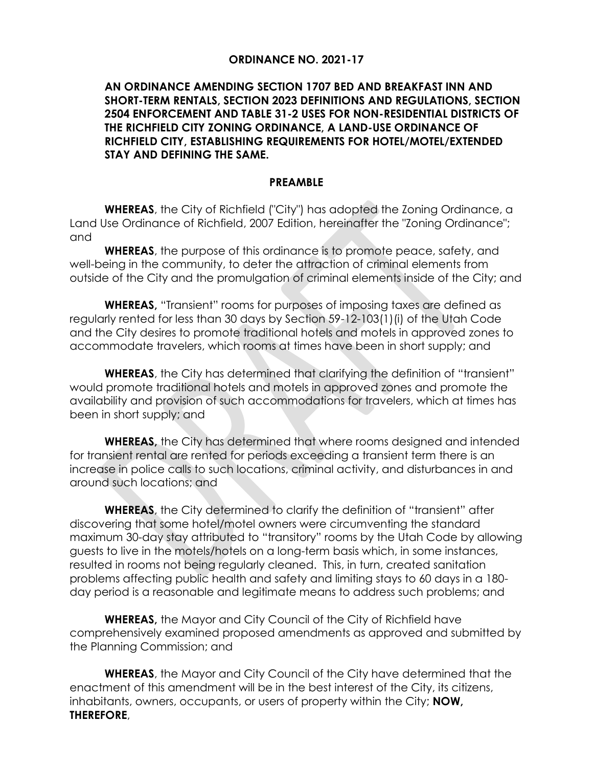### **ORDINANCE NO. 2021-17**

### **AN ORDINANCE AMENDING SECTION 1707 BED AND BREAKFAST INN AND SHORT-TERM RENTALS, SECTION 2023 DEFINITIONS AND REGULATIONS, SECTION 2504 ENFORCEMENT AND TABLE 31-2 USES FOR NON-RESIDENTIAL DISTRICTS OF THE RICHFIELD CITY ZONING ORDINANCE, A LAND-USE ORDINANCE OF RICHFIELD CITY, ESTABLISHING REQUIREMENTS FOR HOTEL/MOTEL/EXTENDED STAY AND DEFINING THE SAME.**

#### **PREAMBLE**

**WHEREAS**, the City of Richfield ("City") has adopted the Zoning Ordinance, a Land Use Ordinance of Richfield, 2007 Edition, hereinafter the "Zoning Ordinance"; and

**WHEREAS**, the purpose of this ordinance is to promote peace, safety, and well-being in the community, to deter the attraction of criminal elements from outside of the City and the promulgation of criminal elements inside of the City; and

**WHEREAS,** "Transient" rooms for purposes of imposing taxes are defined as regularly rented for less than 30 days by Section 59-12-103(1)(i) of the Utah Code and the City desires to promote traditional hotels and motels in approved zones to accommodate travelers, which rooms at times have been in short supply; and

**WHEREAS**, the City has determined that clarifying the definition of "transient" would promote traditional hotels and motels in approved zones and promote the availability and provision of such accommodations for travelers, which at times has been in short supply; and

**WHEREAS,** the City has determined that where rooms designed and intended for transient rental are rented for periods exceeding a transient term there is an increase in police calls to such locations, criminal activity, and disturbances in and around such locations; and

**WHEREAS**, the City determined to clarify the definition of "transient" after discovering that some hotel/motel owners were circumventing the standard maximum 30-day stay attributed to "transitory" rooms by the Utah Code by allowing guests to live in the motels/hotels on a long-term basis which, in some instances, resulted in rooms not being regularly cleaned. This, in turn, created sanitation problems affecting public health and safety and limiting stays to 60 days in a 180 day period is a reasonable and legitimate means to address such problems; and

**WHEREAS,** the Mayor and City Council of the City of Richfield have comprehensively examined proposed amendments as approved and submitted by the Planning Commission; and

**WHEREAS**, the Mayor and City Council of the City have determined that the enactment of this amendment will be in the best interest of the City, its citizens, inhabitants, owners, occupants, or users of property within the City; **NOW, THEREFORE**,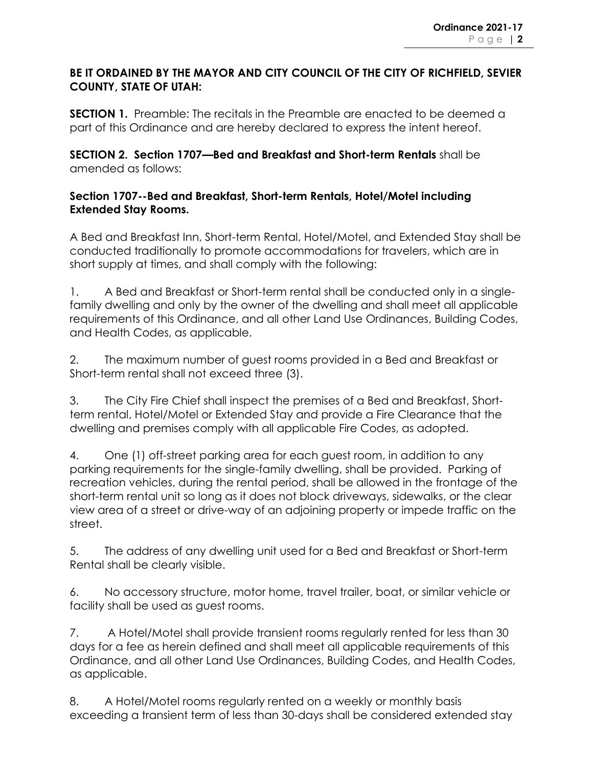## **BE IT ORDAINED BY THE MAYOR AND CITY COUNCIL OF THE CITY OF RICHFIELD, SEVIER COUNTY, STATE OF UTAH:**

**SECTION 1.** Preamble: The recitals in the Preamble are enacted to be deemed a part of this Ordinance and are hereby declared to express the intent hereof.

**SECTION 2. Section 1707—Bed and Breakfast and Short-term Rentals** shall be amended as follows:

# **Section 1707--Bed and Breakfast, Short-term Rentals, Hotel/Motel including Extended Stay Rooms.**

A Bed and Breakfast Inn, Short-term Rental, Hotel/Motel, and Extended Stay shall be conducted traditionally to promote accommodations for travelers, which are in short supply at times, and shall comply with the following:

1. A Bed and Breakfast or Short-term rental shall be conducted only in a singlefamily dwelling and only by the owner of the dwelling and shall meet all applicable requirements of this Ordinance, and all other Land Use Ordinances, Building Codes, and Health Codes, as applicable.

2. The maximum number of guest rooms provided in a Bed and Breakfast or Short-term rental shall not exceed three (3).

3. The City Fire Chief shall inspect the premises of a Bed and Breakfast, Shortterm rental, Hotel/Motel or Extended Stay and provide a Fire Clearance that the dwelling and premises comply with all applicable Fire Codes, as adopted.

4. One (1) off-street parking area for each guest room, in addition to any parking requirements for the single-family dwelling, shall be provided. Parking of recreation vehicles, during the rental period, shall be allowed in the frontage of the short-term rental unit so long as it does not block driveways, sidewalks, or the clear view area of a street or drive-way of an adjoining property or impede traffic on the street.

5. The address of any dwelling unit used for a Bed and Breakfast or Short-term Rental shall be clearly visible.

6. No accessory structure, motor home, travel trailer, boat, or similar vehicle or facility shall be used as guest rooms.

7. A Hotel/Motel shall provide transient rooms regularly rented for less than 30 days for a fee as herein defined and shall meet all applicable requirements of this Ordinance, and all other Land Use Ordinances, Building Codes, and Health Codes, as applicable.

8. A Hotel/Motel rooms regularly rented on a weekly or monthly basis exceeding a transient term of less than 30-days shall be considered extended stay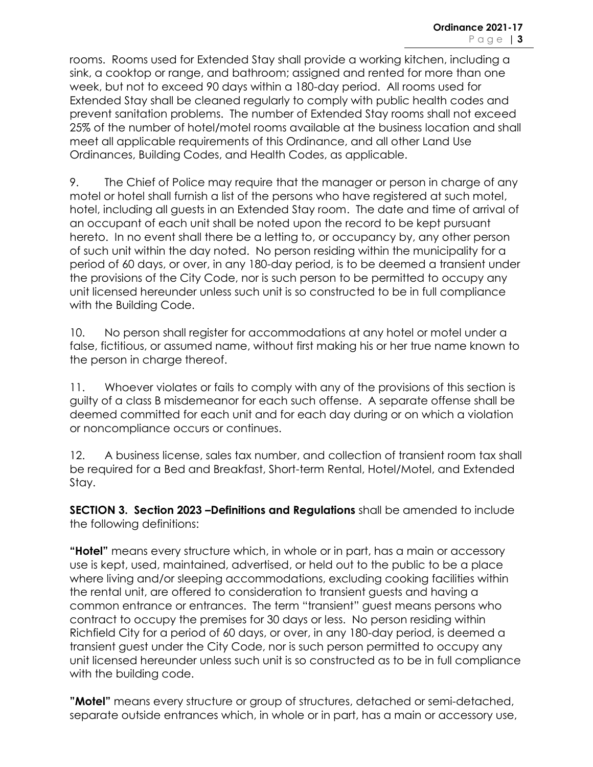rooms. Rooms used for Extended Stay shall provide a working kitchen, including a sink, a cooktop or range, and bathroom; assigned and rented for more than one week, but not to exceed 90 days within a 180-day period. All rooms used for Extended Stay shall be cleaned regularly to comply with public health codes and prevent sanitation problems. The number of Extended Stay rooms shall not exceed 25% of the number of hotel/motel rooms available at the business location and shall meet all applicable requirements of this Ordinance, and all other Land Use Ordinances, Building Codes, and Health Codes, as applicable.

9. The Chief of Police may require that the manager or person in charge of any motel or hotel shall furnish a list of the persons who have registered at such motel, hotel, including all guests in an Extended Stay room. The date and time of arrival of an occupant of each unit shall be noted upon the record to be kept pursuant hereto. In no event shall there be a letting to, or occupancy by, any other person of such unit within the day noted. No person residing within the municipality for a period of 60 days, or over, in any 180-day period, is to be deemed a transient under the provisions of the City Code, nor is such person to be permitted to occupy any unit licensed hereunder unless such unit is so constructed to be in full compliance with the Building Code.

10. No person shall register for accommodations at any hotel or motel under a false, fictitious, or assumed name, without first making his or her true name known to the person in charge thereof.

11. Whoever violates or fails to comply with any of the provisions of this section is guilty of a class B misdemeanor for each such offense. A separate offense shall be deemed committed for each unit and for each day during or on which a violation or noncompliance occurs or continues.

12. A business license, sales tax number, and collection of transient room tax shall be required for a Bed and Breakfast, Short-term Rental, Hotel/Motel, and Extended Stay.

**SECTION 3. Section 2023 –Definitions and Regulations** shall be amended to include the following definitions:

**"Hotel"** means every structure which, in whole or in part, has a main or accessory use is kept, used, maintained, advertised, or held out to the public to be a place where living and/or sleeping accommodations, excluding cooking facilities within the rental unit, are offered to consideration to transient guests and having a common entrance or entrances. The term "transient" guest means persons who contract to occupy the premises for 30 days or less. No person residing within Richfield City for a period of 60 days, or over, in any 180-day period, is deemed a transient guest under the City Code, nor is such person permitted to occupy any unit licensed hereunder unless such unit is so constructed as to be in full compliance with the building code.

**"Motel"** means every structure or group of structures, detached or semi-detached, separate outside entrances which, in whole or in part, has a main or accessory use,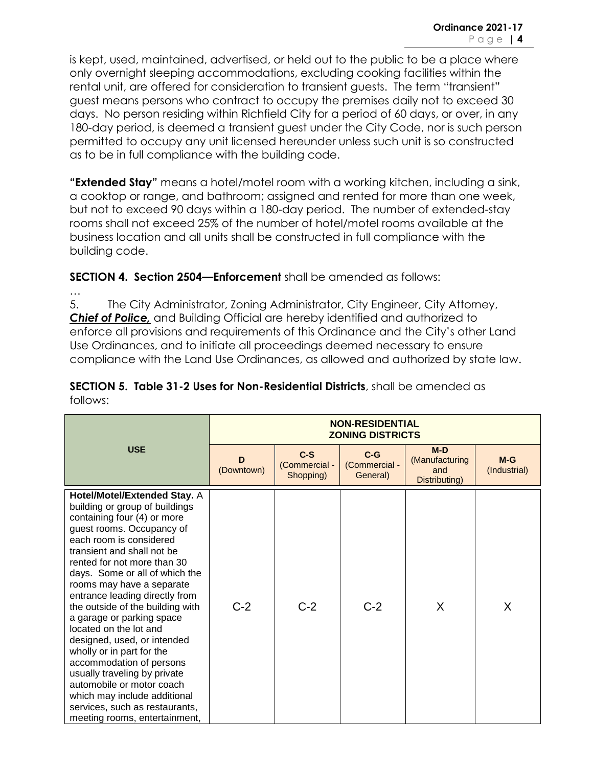is kept, used, maintained, advertised, or held out to the public to be a place where only overnight sleeping accommodations, excluding cooking facilities within the rental unit, are offered for consideration to transient guests. The term "transient" guest means persons who contract to occupy the premises daily not to exceed 30 days. No person residing within Richfield City for a period of 60 days, or over, in any 180-day period, is deemed a transient guest under the City Code, nor is such person permitted to occupy any unit licensed hereunder unless such unit is so constructed as to be in full compliance with the building code.

**"Extended Stay"** means a hotel/motel room with a working kitchen, including a sink, a cooktop or range, and bathroom; assigned and rented for more than one week, but not to exceed 90 days within a 180-day period. The number of extended-stay rooms shall not exceed 25% of the number of hotel/motel rooms available at the business location and all units shall be constructed in full compliance with the building code.

**SECTION 4. Section 2504—Enforcement** shall be amended as follows:

…

5. The City Administrator, Zoning Administrator, City Engineer, City Attorney, *Chief of Police,* and Building Official are hereby identified and authorized to enforce all provisions and requirements of this Ordinance and the City's other Land Use Ordinances, and to initiate all proceedings deemed necessary to ensure compliance with the Land Use Ordinances, as allowed and authorized by state law.

| <b>USE</b>                                                                                                                                                                                                                                                                                                                                                                                                                                                                                                                                                                                                                                                                    | <b>NON-RESIDENTIAL</b><br><b>ZONING DISTRICTS</b> |                                     |                                    |                                                 |                       |  |
|-------------------------------------------------------------------------------------------------------------------------------------------------------------------------------------------------------------------------------------------------------------------------------------------------------------------------------------------------------------------------------------------------------------------------------------------------------------------------------------------------------------------------------------------------------------------------------------------------------------------------------------------------------------------------------|---------------------------------------------------|-------------------------------------|------------------------------------|-------------------------------------------------|-----------------------|--|
|                                                                                                                                                                                                                                                                                                                                                                                                                                                                                                                                                                                                                                                                               | D<br>(Downtown)                                   | $C-S$<br>(Commercial -<br>Shopping) | $C-G$<br>(Commercial -<br>General) | $M-D$<br>(Manufacturing<br>and<br>Distributing) | $M-G$<br>(Industrial) |  |
| <b>Hotel/Motel/Extended Stay. A</b><br>building or group of buildings<br>containing four (4) or more<br>guest rooms. Occupancy of<br>each room is considered<br>transient and shall not be<br>rented for not more than 30<br>days. Some or all of which the<br>rooms may have a separate<br>entrance leading directly from<br>the outside of the building with<br>a garage or parking space<br>located on the lot and<br>designed, used, or intended<br>wholly or in part for the<br>accommodation of persons<br>usually traveling by private<br>automobile or motor coach<br>which may include additional<br>services, such as restaurants,<br>meeting rooms, entertainment, | $C-2$                                             | $C-2$                               | $C-2$                              | X                                               | X                     |  |

**SECTION 5. Table 31-2 Uses for Non-Residential Districts**, shall be amended as follows: